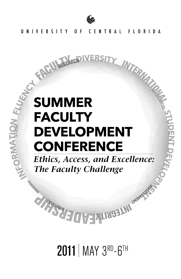

RESEARCH IVERSIT

# INTERNATION **SUMMER FACULTY DEVELOPMENT CONFERENCE**

Ethics, Access, and Excellence: The Faculty Challenge

**RELIAN INST** 

**2011** MAY 3RD-6TH

TIP MISSING THE T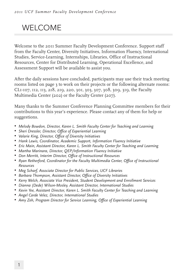## WELCOME

Welcome to the 2011 Summer Faculty Development Conference. Support staff from the Faculty Center, Diversity Initiatives, Information Fluency, International Studies, Service-Learning, Internships, Libraries, Office of Instructional Resources, Center for Distributed Learning, Operational Excellence, and Assessment Support will be available to assist you.

After the daily sessions have concluded, participants may use their track meeting rooms listed on page 3 to work on their projects or the following alternate rooms: CL1-107, 112, 113, 218, 219, 220, 301, 303, 307, 308, 309, 319, the Faculty Multimedia Center (202) or the Faculty Center (207).

Many thanks to the Summer Conference Planning Committee members for their contributions to this year's experience. Please contact any of them for help or suggestions.

- • *Melody Bowdon, Director, Karen L. Smith Faculty Center for Teaching and Learning*
- • *Sheri Dressler, Director, Office of Experiential Learning*
- • *Valarie King, Director, Office of Diversity Initiatives*
- • *Hank Lewis, Coordinator, Academic Support, Information Fluency Initiative*
- • *Eric Main, Assistant Director, Karen L. Smith Faculty Center for Teaching and Learning*
- • *Martha Marinara, Director, QEP/Information Fluency Initiative*
- • *Don Merritt, Interim Director, Office of Instructional Resources*
- • *Ryan Retherford, Coordinator for the Faculty Multimedia Center, Office of Instructional Resources*
- • *Meg Scharf, Associate Director for Public Services, UCF Libraries*
- • *Barbara Thompson, Assistant Director, Office of Diversity Initiatives*
- • *Kerry Welch, Associate Vice President, Student Development and Enrollment Services*
- • *Dianna (Dede) Wilson-Mosley, Assistant Director, International Studies*
- • *Kevin Yee, Assistant Director, Karen L. Smith Faculty Center for Teaching and Learning*
- • *Angel Carde Velez, Director, International Studies*
- • *Amy Zeh, Program Director for Service Learning, Office of Experiential Learning*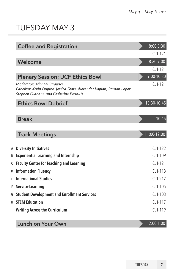## TUESDAY MAY 3

|   | <b>Coffee and Registration</b>                                                                                                                  | $8:00 - 8:30$ |
|---|-------------------------------------------------------------------------------------------------------------------------------------------------|---------------|
|   |                                                                                                                                                 | CL1-121       |
|   | Welcome                                                                                                                                         | 8:30-9:00     |
|   |                                                                                                                                                 | CL1-121       |
|   | <b>Plenary Session: UCF Ethics Bowl</b>                                                                                                         | 9:00-10:30    |
|   | Moderator: Michael Strawser<br>Panelists: Kevin Dupree, Jessica Fears, Alexander Kaplan, Ramon Lopez,<br>Stephen Oldham, and Catherine Perrault | CL1-121       |
|   | <b>Ethics Bowl Debrief</b>                                                                                                                      | 10:30-10:45   |
|   |                                                                                                                                                 |               |
|   | <b>Break</b>                                                                                                                                    | 10:45         |
|   | <b>Track Meetings</b>                                                                                                                           | $11:00-12:00$ |
|   | A Diversity Initiatives                                                                                                                         | CL1-122       |
|   | <b>B</b> Experiential Learning and Internship                                                                                                   | $CI 1-109$    |
|   | C Faculty Center for Teaching and Learning                                                                                                      | $CL1-121$     |
|   | D Information Fluency                                                                                                                           | CL1-113       |
| E | <b>International Studies</b>                                                                                                                    | CL1-212       |
|   | F Service-Learning                                                                                                                              | CL1-105       |
| G | <b>Student Development and Enrollment Services</b>                                                                                              | $CI 1-103$    |
|   | <b>H</b> STEM Education                                                                                                                         | $CI 1-117$    |
|   | Writing Across the Curriculum                                                                                                                   | $CI 1-119$    |
|   | Lunch on Your Own                                                                                                                               | 12:00-1:00    |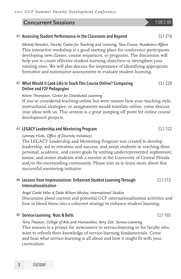#### **Concurrent Sessions** 1:00-2:00

#### A1 Assessing Student Performance in the Classroom and Beyond CL1-218

*Melody Bowdon, Faculty Center for Teaching and Learning; Tace Crouse, Academics Affairs* This interactive workshop is a good starting place for conference participants developing new classes, course sequences, or programs. The discussion will help you to create effective student learning objectives or strengthen your existing ones. We will also discuss the importance of identifying appropriate formative and summative assessments to evaluate student learning.

#### A2 What Would it Look Like to Teach This Course Online? Comparing Online and F2F Pedagogies  $C11-220$

#### *Kelvin Thompson, Center for Distributed Learning*

If you've considered teaching online but were unsure how your teaching style, instructional strategies, or assignments would translate online, come discuss your ideas with us. This session is a great jumping off point for online course development projects.

#### A3 LEGACY Leadership and Mentoring Program CL1-122

#### *Lynnsey Hicks, Office of Diversity Initiatives*

The LEGACY Leadership and Mentoring Program was created to develop leadership, aid in retention and success, and assist students in reaching their personal, academic, and career goals by uniting underrepresented sophomore, junior, and senior students with a mentor at the University of Central Florida and/or the surrounding community. Please join us to learn more about this successful mentoring initiative.

#### A4 Lessons from Impressionism: Enhanced Student Learning Through Internationalization CL1-212

*Angel Carde Velez & Dede Wilson-Mosley, International Studies* Discussion about current and potential UCF internationalization activities and how to blend them into a coherent strategy to enhance student learning.

#### A5 Service-Learning: Nuts & Bolts CL1-105

*Terry Thaxton, College of Arts and Humanities; Amy Zeh, Service-Learning* This session is a primer for newcomers to service-learning or for faculty who want to refresh their knowledge of service-learning fundamentals. Come and hear what service-learning is all about and how it might fit with your curriculum.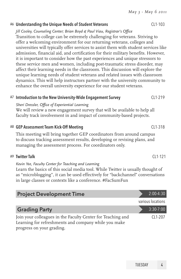### A6 Understanding the Unique Needs of Student Veterans Theorem CL1-103

*Jill Cooley, Counseling Center; Brian Boyd & Paul Viau, Registrar's Office* Transition to college can be extremely challenging for veterans. Striving to offer a welcoming environment for our returning veterans, colleges and universities will typically offer services to assist them with student services like admission, financial aid, and certification for their military benefits. However, it is important to consider how the past experiences and unique stressors to these service men and women, including post-traumatic stress disorder, may affect their learning needs in the classroom. This discussion will explore the unique learning needs of student veterans and related issues with classroom dynamics. This will help instructors partner with the university community to enhance the overall university experience for our student veterans.

#### A7 Introduction to the New University-Wide Engagement Survey CL1-219

*Sheri Dressler, Office of Experiential Learning*

We will review a new engagement survey that will be available to help all faculty track involvement in and impact of community-based projects.

### A8 GEP Assessment Team Kick-Off Meeting CL1-318

This meeting will bring together GEP coordinators from around campus to discuss tracking assessment results, developing or revising plans, and managing the assessment process. For coordinators only.

### A9 Twitter Talk CL1-121

*Kevin Yee, Faculty Center for Teaching and Learning*

Learn the basics of this social media tool. While Twitter is usually thought of as "microblogging", it can be used effectively for "backchannel" conversations in large classes or contexts like a conference. #FacSumFun

| <b>Project Development Time</b>                                                                                                                  | $2:00-4:30$       |
|--------------------------------------------------------------------------------------------------------------------------------------------------|-------------------|
|                                                                                                                                                  | various locations |
| <b>Grading Party</b>                                                                                                                             | $3:30-7:00$       |
| Join your colleagues in the Faculty Center for Teaching and<br>Learning for refreshments and company while you make<br>progress on your grading. | $CI 1-207$        |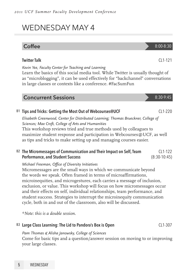## WEDNESDAY MAY 4

## $\text{Coffee}$  8:00-8:30

*Kevin Yee, Faculty Center for Teaching and Learning*

Learn the basics of this social media tool. While Twitter is usually thought of as "microblogging", it can be used effectively for "backchannel" conversations in large classes or contexts like a conference. #FacSumFun

Twitter Talk CL1-121

| <b>Concurrent Sessions</b> | 8:30-9:45 |
|----------------------------|-----------|
|----------------------------|-----------|

#### B1 Tips and Tricks: Getting the Most Out of Webcourses@UCF CL1-220

*Elisabeth Greenwood, Center for Distributed Learning; Thomas Brueckner, College of Sciences; Max Croft, College of Arts and Humanities*

This workshop reviews tried and true methods used by colleagues to maximize student response and participation in Webcourses@UCF, as well as tips and tricks to make setting up and managing courses easier.

#### B<sub>2</sub> The Micromessages of Communication and Their Impact on Self, Team Performance, and Student Success  $C11-122$ (8:30-10:45)

#### *Michael Freeman, Office of Diversity Initiatives*

Micromessages are the small ways in which we communicate beyond the words we speak. Often framed in terms of microaffirmations, microinequities, and microgestures, each carries a message of inclusion, exclusion, or value. This workshop will focus on how micromessages occur and their effects on self, individual relationships, team performance, and student success. Strategies to interrupt the microinequity communication cycle, both in and out of the classroom, also will be discussed.

*\*Note: this is a double session.*

#### B3 Large Class Learning: The Lid to Pandora's Box is Open CL1-307

## *Pam Thomas & Alisha Janowsky, College of Sciences*

Come for basic tips and a question/answer session on moving to or improving your large classes.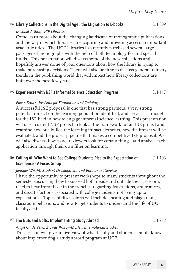#### B4 Library Collections in the Digital Age : the Migration to E-books CL1-309

#### *Michael Arthur, UCF Libraries*

Come learn more about the changing landscape of monographic publications and the way in which libraries are acquiring and providing access to important academic titles. The UCF Libraries has recently purchased several large packages of monographs with the help of both technology fee and special funds. This presentation will discuss some of the new collections and hopefully answer some of your questions about how the library is trying to make purchasing decisions. There will also be time to discuss general industry trends in the publishing world that will impact how library collections are built over the next few years.

#### B5 Experiences with NSF's Informal Science Education Program CL1-117

#### *Eileen Smith, Institute for Simulation and Training*

A successful ISE proposal is one that has strong partners, a very strong potential impact on the learning population identified, and serves as a model for the ISE field in how to engage informal science learning. This presentation will use a current NSF project to look at the framework for an ISE project and examine how one builds the learning impact elements, how the impact will be evaluated, and the project pipeline that makes a competitive ISE proposal. We will also discuss how panel reviewers look for certain things, and analyze each application through their own filter on learning.

#### B<sub>6</sub> Calling All Who Want to See College Students Rise to the Expectation of Excellence – A Focus Group CL1-103

#### *Jennifer Wright, Student Development and Enrollment Services*

I have the opportunity to present workshops to many students throughout the semester discussing how to succeed both inside and outside the classroom. I need to hear from those in the trenches regarding frustrations, annoyances, and dissatisfactions associated with college students not living up to expectations. Topics of discussions will include cheating and plagiarism, classroom behaviors, and how to get students to understand the life of UCF faculty/staff.

#### B7 The Nuts and Bolts: Implementing Study Abroad CL1-212

*Angel Carde Velez & Dede Wilson-Mosley, International Studies* This session will give an overview of what faculty and students should know about implementing a study abroad program at UCF.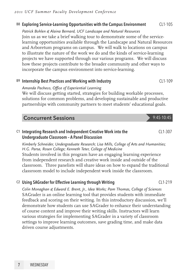#### B8 Exploring Service-Learning Opportunities with the Campus Environment CL1-105

*Patrick Bohlen & Alaina Bernard, UCF Landscape and Natural Resources* Join us as we take a brief walking tour to demonstrate some of the servicelearning opportunities available through the Landscape and Natural Resources and Arboretum programs on campus. We will walk to locations on campus to illustrate the nature of the work we do and the kinds of service-learning projects we have supported through our various programs. We will discuss how these projects contribute to the broader community and other ways to incorporate the campus environment into service-learning.

#### B<sup>9</sup> Internship Best Practices and Working with Industry **CL1-109** CL1-109

*Amanda Pacheco, Office of Experiential Learning*

We will discuss getting started, strategies for building workable processes, solutions for common problems, and developing sustainable and productive partnerships with community partners to meet students' educational goals.

#### Concurrent Sessions 8:45-10:45

#### C1 Integrating Research and Independent Creative Work into the Undergraduate Classroom – A Panel Discussion

*Kimberly Schneider, Undergraduate Research; Lisa Mills, College of Arts and Humanities; H.G. Parsa, Rosen College; Kenneth Teter, College of Medicine*

CL1-307

Students involved in this program have an engaging learning experience from independent research and creative work inside and outside of the classroom. Three panelists will share ideas on how to expand the traditional classroom model to include independent work inside the classroom.

#### $C<sub>2</sub>$  Using SAGrader for Effective Learning through Writing  $C<sub>1</sub>$  (21-219)

*Colin Monaghan & Edward E. Brent, Jr., Idea Works; Pam Thomas, College of Sciences* SAGrader is an online learning tool that provides students with immediate feedback and scoring on their writing. In this introductory discussion, we'll demonstrate how students can use SAGrader to enhance their understanding of course content and improve their writing skills. Instructors will learn various strategies for implementing SAGrader in a variety of classroom settings to improve learning outcomes, save grading time, and make data driven course adjustments.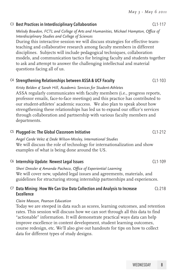#### C3 Best Practices in Interdisciplinary Collaboration CL1-117

*Melody Bowdon, FCTL and College of Arts and Humanities, Michael Hampton, Office of Interdisciplinary Studies and College of Sciences*

During this interactive session we will discuss strategies for effective teamteaching and collaborative research among faculty members in different disciplines. Subjects will include pedagogical techniques, collaboration models, and communication tactics for bringing faculty and students together to ask and attempt to answer the challenging intellectual and material questions facing all of us.

#### C4 Strengthening Relationships between ASSA & UCF Faculty CL1-103

*Kristy Belden & Sarah Hill*, *Academic Services for Student-Athletes* ASSA regularly communicates with faculty members (i.e., progress reports, professor emails, face-to-face meetings) and this practice has contributed to our student-athletes' academic success. We also plan to speak about how strengthening these relationships has led us to expand our office's services through collaboration and partnership with various faculty members and departments.

#### C5 Plugged-in: The Global Classroom Initiative CL1-212 *Angel Carde Velez & Dede Wilson-Mosley, International Studies* We will discuss the role of technology for internationalization and show examples of what is being done around the US.

#### C6 Internship Update: Newest Legal Issues CL1-109

*Sheri Dressler & Amanda Pacheco, Office of Experiential Learning* We will cover new, updated legal issues and agreements, materials, and guidelines for structuring strong internship partnerships and experiences.

#### C7 Data Mining: How We Can Use Data Collection and Analysis to Increase Excellence  $Cl - 218$

#### *Claire Masson, Pearson Education*

Today we are steeped in data such as scores, learning outcomes, and retention rates. This session will discuss how we can sort through all this data to find "actionable" information. It will demonstrate practical ways data can help improve excellence in content development, student learning outcomes, course redesign, etc. We'll also give out handouts for tips on how to collect data for different types of study designs.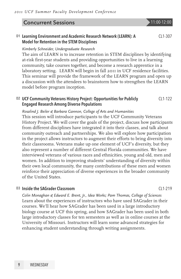*2011 UCF Summer Faculty Development Conference*

their classrooms. Veterans make up one element of UCF's diversity, but they also represent a number of different Central Florida communities. We have interviewed veterans of various races and ethnicities, young and old, men and women. In addition to improving students' understanding of diversity within their own local community, the many contributions of these men and women reinforce their appreciation of diverse experiences in the broader community of the United States.

#### D3 Inside the SAGrader Classroom CL1-219

*Colin Monaghan & Edward E. Brent, Jr., Idea Works; Pam Thomas, College of Sciences* Learn about the experiences of instructors who have used SAGrader in their courses. We'll hear how SAGrader has been used in a large introductory biology course at UCF this spring, and how SAGrader has been used in both large introductory classes for ten semesters as well as in online courses at the University of Missouri. Instructors will learn some advanced strategies for enhancing student understanding through writing assignments.

## D1 Learning Environment and Academic Research Network (LEARN): A

#### Model for Retention in the STEM Disciplines *Kimberly Schneider, Undergraduate Research*

The aim of LEARN is to increase retention in STEM disciplines by identifying at-risk first-year students and providing opportunities to live in a learning community, take courses together, and become a research apprentice in a laboratory setting. LEARN will begin in fall 2011 in UCF residence facilities. This seminar will provide the framework of the LEARN program and open up a discussion with the attendees to brainstorm how to strengthen the LEARN model before program inception.

#### D2 UCF Community Veterans History Project: Opportunities for Publicly Engaged Research Among Diverse Populations  $C11-122$

*Rosalind J. Beiler & Barbara Gannon, College of Arts and Humanities* This session will introduce participants to the UCF Community Veterans History Project. We will cover the goals of the project, discuss how participants from different disciplines have integrated it into their classes, and talk about community outreach and partnerships. We also will explore how participation in the project allows instructors to augment their efforts to bring diversity into

## **Concurrent Sessions 11:00-12:00**

CL1-307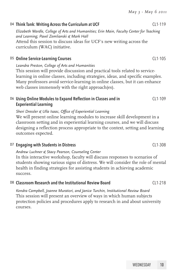#### D4 Think Tank: Writing Across the Curriculum at UCF CL1-119

*Elizabeth Wardle, College of Arts and Humanities; Erin Main, Faculty Center for Teaching and Learning; Pavel Zemlianski & Mark Hall* Attend this session to discuss ideas for UCF's new writing across the curriculum (WAC) initiative.

#### D5 Online Service-Learning Courses CL1-105

*Leandra Preston, College of Arts and Humanities* This session will provide discussion and practical tools related to servicelearning in online classes, including strategies, ideas, and specific examples. Many professors avoid service-learning in online classes, but it can enhance web classes immensely with the right approach(es).

#### D6 Using Online Modules to Expand Reflection in Classes and in Experiential Learning

*Sheri Dressler & Ulla Isaac, Office of Experiential Learning* We will present online learning modules to increase skill development in a classroom setting and in experiential learning courses, and we will discuss designing a reflection process appropriate to the context, setting and learning

outcomes expected.

#### D7 Engaging with Students in Distress CL1-308

*Andrew Luchner & Stacy Pearson, Counseling Center*

In this interactive workshop, faculty will discuss responses to scenarios of students showing various signs of distress. We will consider the role of mental health in finding strategies for assisting students in achieving academic success.

#### D8 Classroom Research and the Institutional Review Board Classroom CL1-218

*Kendra Campbell, Joanne Muratori, and Janice Turchin, Institutional Review Board* This session will present an overview of ways in which human subjects protection policies and procedures apply to research in and about university courses.

CL1-109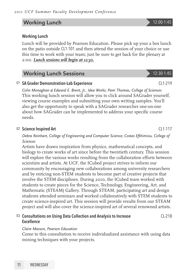#### Working Lunch 2008 2009 12:00-1:45

#### Working Lunch

Lunch will be provided by Pearson Education. Please pick up your a box lunch on the patio outside CL1-101 and then attend the session of your choice or use this time to work with your team; just be sure to get back for the plenary at 2:00. *Lunch sessions will begin at 12:30.*

### Working Lunch Sessions 2012 2:30-1:45

#### E1 SA Grader Demonstration-Lab Experience CL1-219

*Colin Monaghan & Edward E. Brent, Jr., Idea Works; Pam Thomas, College of Sciences* This working lunch session will allow you to click around SAGrader yourself, viewing course examples and submitting your own writing samples. You'll also get the opportunity to speak with a SAGrader researcher one-on-one about how SAGrader can be implemented to address your specific course needs.

#### E2 Science Inspired Art CL1-117

*Debra Reinhart, College of Engineering and Computer Science; Costas Efthimiou, College of Sciences*

Artists have drawn inspiration from physics, mathematical concepts, and biology to create works of art since before the twentieth century. This session will explore the various works resulting from the collaboration efforts between scientists and artists. At UCF, the ICubed project strives to inform our community by encouraging new collaborations among university researchers and by enticing non-STEM students to become part of creative projects that involve the STEM disciplines. During 2010, the ICubed team worked with students to create pieces for the Science, Technology, Engineering, Art, and Mathematic (STEAM) Gallery. Through STEAM, participating art and design students attended seminars and worked collaboratively with STEM students to create science-inspired art. This session will provide results from our STEAM project and will also cover the science-inspired art of several renowned artists.

#### E3 Consultations on Using Data Collection and Analysis to Increase Excellence CL-218

#### *Claire Masson, Pearson Education*

Come to this consultation to receive individualized assistance with using data mining techniques with your projects.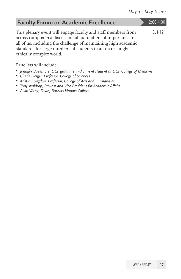| <b>Faculty Forum on Academic Excellence</b>                                                                                                                                                                                                                                                | $2:00-4:00$ |
|--------------------------------------------------------------------------------------------------------------------------------------------------------------------------------------------------------------------------------------------------------------------------------------------|-------------|
| This plenary event will engage faculty and staff members from<br>across campus in a discussion about matters of importance to<br>all of us, including the challenge of maintaining high academic<br>standards for large numbers of students in an increasingly<br>ethically complex world. | CL1-121     |
|                                                                                                                                                                                                                                                                                            |             |

Panelists will include:

- • *Jennifer Bazemore, UCF graduate and current student at UCF College of Medicine*
- • *Cherie Geiger, Professor, College of Sciences*
- • *Kristin Congdon, Professor, College of Arts and Humanities*
- • *Tony Waldrop, Provost and Vice President for Academic Affairs*
- • *Alvin Wang, Dean, Burnett Honors College*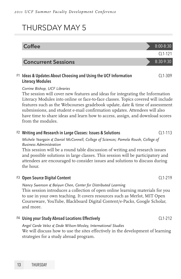## THURSDAY MAY 5

| Coffee                                                                                                                                                                                                                                                                                                                                                                                                                                                                |  | 8:00-8:30     |  |
|-----------------------------------------------------------------------------------------------------------------------------------------------------------------------------------------------------------------------------------------------------------------------------------------------------------------------------------------------------------------------------------------------------------------------------------------------------------------------|--|---------------|--|
|                                                                                                                                                                                                                                                                                                                                                                                                                                                                       |  | $CI 1-121$    |  |
| <b>Concurrent Sessions</b>                                                                                                                                                                                                                                                                                                                                                                                                                                            |  | $8:30 - 9:30$ |  |
| F1 Ideas & Updates About Choosing and Using the UCF Information<br><b>Literacy Modules</b>                                                                                                                                                                                                                                                                                                                                                                            |  | $CI 1-309$    |  |
| Corrine Bishop, UCF Libraries<br>The session will cover new features and ideas for integrating the Information<br>Literacy Modules into online or face-to-face classes. Topics covered will include<br>features such as the Webcourses gradebook update, date & time of assessment<br>submissions, and student e-mail confirmation updates. Attendees will also<br>have time to share ideas and learn how to access, assign, and download scores<br>from the modules. |  |               |  |

#### F<sub>2</sub> Writing and Research in Large Classes: Issues & Solutions CL1-113

*Michele Yeargain & Daniel McConnell, College of Sciences; Pamela Roush, College of Business Administration*

This session will be a round table discussion of writing and research issues and possible solutions in large classes. This session will be participatory and attendees are encouraged to consider issues and solutions to discuss during the hour.

#### F3 Open Source Digital Content CL1-219

*Nancy Swenson & Baiyun Chen, Center for Distributed Learning* This session introduces a collection of open online learning materials for you to use in your own teaching. It covers resources such as Merlot, MIT Open Courseware, YouTube, Blackboard Digital Content/e-Packs, Google Scholar, and more.

#### F4 Using your Study Abroad Locations Effectively example that the CL1-212

*Angel Carde Velez & Dede Wilson-Mosley, International Studies* We will discuss how to use the sites effectively in the development of learning strategies for a study abroad program.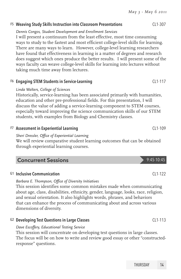#### F5 Weaving Study Skills Instruction into Classroom Presentations CL1-307

#### *Dennis Congos, Student Development and Enrollment Services*

I will present a continuum from the least effective, most time consuming ways to study to the fastest and most efficient college-level skills for learning. There are many ways to learn. However, college-level learning researchers have found that effectiveness in learning is a matter of degrees and research does suggest which ones produce the better results. I will present some of the ways faculty can weave college-level skills for learning into lectures without taking much time away from lectures.

### F6 Engaging STEM Students in Service-Learning Theorem CL1-117

### *Linda Walters, College of Sciences*

Historically, service-learning has been associated primarily with humanities, education and other pre-professional fields. For this presentation, I will discuss the value of adding a service-learning component to STEM courses, especially toward improving the science communication skills of our STEM students, with examples from Biology and Chemistry classes.

### F7 Assessment in Experiential Learning Theorem 2011 109

### *Sheri Dressler, Office of Experiential Learning*

We will review comparative student learning outcomes that can be obtained through experiential learning courses.

### Concurrent Sessions **6:45-10:45**

### G1 Inclusive Communication CL1-122

*Barbara E. Thompson, Office of Diversity Initiatives*

This session identifies some common mistakes made when communicating about age, class, disabilities, ethnicity, gender, language, looks, race, religion, and sexual orientation. It also highlights words, phrases, and behaviors that can enhance the process of communicating about and across various dimensions of diversity.

### G<sub>2</sub> Developing Test Questions in Large Classes CL<sub>1</sub>-113

#### *Dave Escoffery, Educational Testing Service*

This session will concentrate on developing test questions in large classes. The focus will be on how to write and review good essay or other "constructedresponse" questions.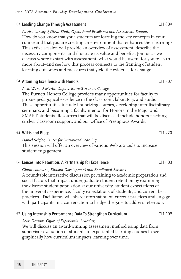#### G3 Leading Change Through Assessment CL1-309

*Patrice Lancey & Divya Bhati, Operational Excellence and Assessment Support* How do you know that your students are learning the key concepts in your course and that you are creating an environment that enhances their learning? This active session will provide an overview of assessment, describe the necessary components, and illustrate its value and benefits. Join us as we discuss where to start with assessment–what would be useful for you to learn more about–and see how this process connects to the framing of student learning outcomes and measures that yield the evidence for change.

#### G4 Attaining Excellence with Honors CL1-307

*Alvin Wang & Martin Dupuis, Burnett Honors College*

The Burnett Honors College provides many opportunities for faculty to pursue pedagogical excellence in the classroom, laboratory, and studio. These opportunities include honorizing courses, developing interdisciplinary seminars, and becoming a faculty mentor for Honors in the Major and SMART students. Resources that will be discussed include honors teaching circles, classroom support, and our Office of Prestigious Awards.

#### G5 Wikis and Blogs CL1-220

*Daniel Seigler, Center for Distributed Learning*

This session will offer an overview of various Web 2.0 tools to increase student engagement.

#### G6 Lenses into Retention: A Partnership for Excellence CLA CL1-103

*Gloria Laureano, Student Development and Enrollment Services* A roundtable interactive discussion pertaining to academic preparation and social factors that impact undergraduate student retention by examining the diverse student population at our university, student expectations of the university experience, faculty expectations of students, and current best practices. Facilitators will share information on current practices and engage with participants in a conversation to bridge the gaps to address retention.

#### G7 Using Internship Performance Data To Strengthen Curriculum CL1-109

#### *Sheri Dressler, Office of Experiential Learning*

We will discuss an award-winning assessment method using data from supervisor evaluation of students in experiential learning courses to see graphically how curriculum impacts learning over time.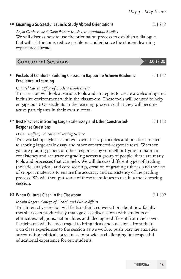#### G8 Ensuring a Successful Launch: Study Abroad Orientations CL1-212

#### *Angel Carde Velez & Dede Wilson-Mosley, International Studies*

We will discuss how to use the orientation process to establish a dialogue that will set the tone, reduce problems and enhance the student learning experience abroad.

| <b>Concurrent Sessions</b> | $\blacktriangleright$ 11:00-12:00 |
|----------------------------|-----------------------------------|
|----------------------------|-----------------------------------|

#### H1 Pockets of Comfort – Building Classroom Rapport to Achieve Academic Excellence in Learning  $C11-122$

#### *Chantel Carter, Office of Student Involvement*

This session will look at various tools and strategies to create a welcoming and inclusive environment within the classroom. These tools will be used to help engage our UCF students in the learning process so that they will become active participants in their own success.

#### H2 Best Practices in Scoring Large-Scale Essay and Other Constructed-Response Questions CL1-113

#### *Dave Escoffery, Educational Testing Service*

This workshop-style session will cover basic principles and practices related to scoring large-scale essay and other constructed-response tests. Whether you are grading papers or other responses by yourself or trying to maintain consistency and accuracy of grading across a group of people, there are many tools and processes that can help. We will discuss different types of grading (holistic, analytical, and core scoring), creation of grading rubrics, and the use of support materials to ensure the accuracy and consistency of the grading process. We will then put some of these techniques to use in a mock scoring session.

#### H3 When Cultures Clash in the Classroom CL1-309

#### *Melvin Rogers, College of Health and Public Affairs*

This interactive session will feature frank conversation about how faculty members can productively manage class discussions with students of ethnicities, religions, nationalities and ideologies different from their own. Participants will be encouraged to bring ideas and anecdotes from their own class experiences to the session as we work to push past the anxieties surrounding political correctness to provide a challenging but respectful educational experience for our students.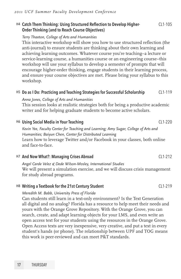#### H4 Catch Them Thinking: Using Structured Reflection to Develop Higher-Order Thinking (and to Reach Course Objectives)  $C11-105$

#### *Terry Thaxton, College of Arts and Humanities*

This interactive workshop will show you how to use structured reflection (the anti-journal) to ensure students are thinking about their own learning and achieving learning outcomes. Whatever course you're teaching–a lecture or service-learning course, a humanities course or an engineering course–this workshop will use your syllabus to develop a semester of prompts that will encourage higher-order thinking, engage students in their learning process, and ensure your course objectives are met. Please bring your syllabus to this workshop.

#### H<sub>5</sub> Do as I Do: Practicing and Teaching Strategies for Successful Scholarship CL1-119

*Anna Jones, College of Arts and Humanities*

This session looks at realistic strategies both for being a productive academic writer and for helping graduate students to become active scholars.

#### H6 Using Social Media in Your Teaching CL1-220

*Kevin Yee, Faculty Center for Teaching and Learning; Amy Sugar, College of Arts and Humanities; Baiyun Chen, Center for Distributed Learning* Learn how to leverage Twitter and/or Facebook in your classes, both online and face-to-face.

#### H7 And Now What?: Managing Crises Abroad CL1-212

*Angel Carde Velez & Dede Wilson-Mosley, International Studies* We will present a simulation exercise, and we will discuss crisis management for study abroad programs.

#### $^{H8}$  Writing a Textbook for the 21st Century Student CL1-219

#### *Meredith M. Babb, University Press of Florida*

Can students still learn in a text-only environment? Is the Text Generation all digital and no analog? Florida has a resource to help meet their needs and yours with the Orange Grove Repository. With the Orange Grove, you can search, create, and adapt learning objects for your LMS, and even write an open access text for your students using the resources in the Orange Grove. Open Access texts are very inexpensive, very creative, and put a text in every student's hands (or phone). The relationship between UPF and TOG means this work is peer-reviewed and can meet P&T standards.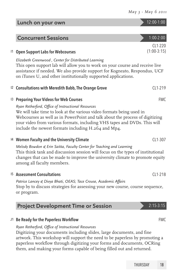### **Concurrent Sessions** 1:00-2:00 I1 Open Support Labs for Webcourses  $C11-220$ (1:00-3:15) *Elizabeth Greenwood , Center for Distributed Learning* This open support lab will allow you to work on your course and receive live assistance if needed. We also provide support for Kogneato, Respondus, UCF on iTunes U, and other institutionally supported applications. I2 Consultations with Meredith Babb, The Orange Grove CL1-219 I3 Preparing Your Videos for Web Courses FMC *Ryan Retherford, Office of Instructional Resources* We will take time to look at the various video formats being used in Webcourses as well as in PowerPoint and talk about the process of digitizing your video from various formats, including VHS tapes and DVDs. This will

Lunch on your own 12:00-1:00

#### <sup>14</sup> Women Faculty and the University Climate CL<sub>1</sub> 307

*Melody Bowdon & Erin Saitta, Faculty Center for Teaching and Learning* This think tank and discussion session will focus on the types of institutional changes that can be made to improve the university climate to promote equity among all faculty members.

#### I5 Assessment Consultations CL1-218

*Patrice Lancey & Divya Bhati, OEAS; Tace Crouse, Academic Affairs* Stop by to discuss strategies for assessing your new course, course sequence, or program.

| <b>Project Development Time or Session</b> |  | 2:15-3:15 |
|--------------------------------------------|--|-----------|
|--------------------------------------------|--|-----------|

include the newest formats including H.264 and Mp4.

#### J1 Be Ready for the Paperless Workflow FMC

*Ryan Retherford, Office of Instructional Resources*

Digitizing your documents including slides, large documents, and fine artwork. This workshop will support the need to be paperless by promoting a paperless workflow through digitizing your forms and documents, OCRing them, and making your forms capable of being filled out and returned.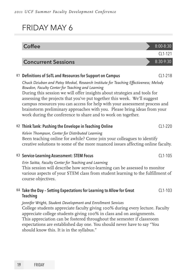## FRIDAY MAY 6

| <b>Coffee</b>                                                                                                                                                                                                                                                                                                                                                                                                                                                                                                               | 8:00-8:30   |
|-----------------------------------------------------------------------------------------------------------------------------------------------------------------------------------------------------------------------------------------------------------------------------------------------------------------------------------------------------------------------------------------------------------------------------------------------------------------------------------------------------------------------------|-------------|
|                                                                                                                                                                                                                                                                                                                                                                                                                                                                                                                             | $CI 1-121$  |
| <b>Concurrent Sessions</b>                                                                                                                                                                                                                                                                                                                                                                                                                                                                                                  | $8:30-9:30$ |
| K1 Definitions of SoTL and Resources for Support on Campus                                                                                                                                                                                                                                                                                                                                                                                                                                                                  | $CI 1-218$  |
| Chuck Dziuban and Patsy Moskal, Research Institute for Teaching Effectiveness; Melody<br>Bowdon, Faculty Center for Teaching and Learning<br>During this session we will offer insights about strategies and tools for<br>assessing the projects that you've put together this week. We'll suggest<br>campus resources you can access for help with your assessment process and<br>brainstorm preliminary approaches with you. Please bring ideas from your<br>work during the conference to share and to work on together. |             |
| K2 Think Tank: Pushing the Envelope in Teaching Online<br>Kelvin Thompson, Center for Distributed Learning<br>Been teaching online for awhile? Come join your colleagues to identify<br>creative solutions to some of the more nuanced issues affecting online faculty.                                                                                                                                                                                                                                                     | CL1-220     |
| K3 Service-Learning Assessment: STEM Focus                                                                                                                                                                                                                                                                                                                                                                                                                                                                                  | $CI 1-105$  |
| Erin Saitta, Faculty Center for Teaching and Learning<br>This session will describe how service-learning can be assessed to monitor<br>various aspects of your STEM class from student learning to the fulfillment of<br>course objectives.                                                                                                                                                                                                                                                                                 |             |
| K4 Take the Day - Setting Expectations for Learning to Allow for Great<br><b>Teaching</b>                                                                                                                                                                                                                                                                                                                                                                                                                                   | $CI 1-103$  |
| Jennifer Wright, Student Development and Enrollment Services<br>College students appreciate faculty giving 100% during every lecture. Faculty<br>appreciate college students giving 100% in class and on assignments.<br>This appreciation can be fostered throughout the semester if classroom<br>expectations are established day one. You should never have to say "You<br>should know this. It is in the syllabus."                                                                                                     |             |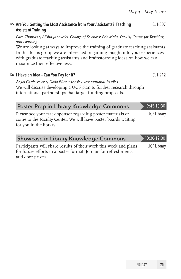#### K<sub>5</sub> Are You Getting the Most Assistance from Your Assistants? Teaching Assistant Training CL1-307

*Pam Thomas & Alisha Janowsky, College of Sciences; Eric Main, Faculty Center for Teaching and Learning*

We are looking at ways to improve the training of graduate teaching assistants. In this focus group we are interested in gaining insight into your experiences with graduate teaching assistants and brainstorming ideas on how we can maximize their effectiveness.

#### K6 I Have an Idea – Can You Pay for It? CL1-212

*Angel Carde Velez & Dede Wilson-Mosley, International Studies* We will discuss developing a UCF plan to further research through international partnerships that target funding proposals.

| <b>Poster Prep in Library Knowledge Commons</b>                                                                                                          | 9:45-10:30         |
|----------------------------------------------------------------------------------------------------------------------------------------------------------|--------------------|
| Please see your track sponsor regarding poster materials or<br>come to the Faculty Center. We will have poster boards waiting<br>for you in the library. | <b>UCF Library</b> |
| <b>Showcase in Library Knowledge Commons</b>                                                                                                             | $-10:30-12:00$     |

Participants will share results of their work this week and plans for future efforts in a poster format. Join us for refreshments and door prizes. UCF Library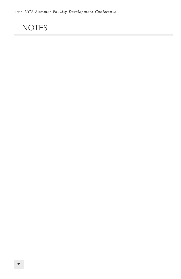## NOTES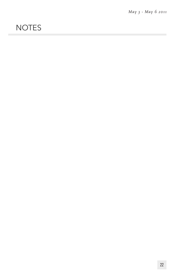## **NOTES**